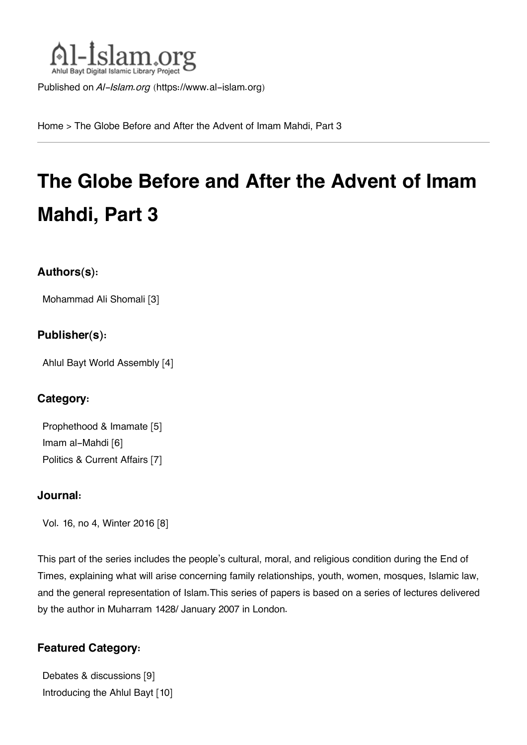

Published on *Al-Islam.org* ([https://www.al-islam.org\)](https://www.al-islam.org)

[Home](https://www.al-islam.org/) > The Globe Before and After the Advent of Imam Mahdi, Part 3

# **The Globe Before and After the Advent of Imam Mahdi, Part 3**

#### **Authors(s):**

[Mohammad Ali Shomali](https://www.al-islam.org/person/mohammad-ali-shomali) [3]

#### **Publisher(s):**

[Ahlul Bayt World Assembly](https://www.al-islam.org/organization/ahlul-bayt-world-assembly) [4]

#### **Category:**

[Prophethood & Imamate](https://www.al-islam.org/library/prophethood-imamate) [5] [Imam al-Mahdi](https://www.al-islam.org/library/imam-al-mahdi) [6] [Politics & Current Affairs](https://www.al-islam.org/library/politics-current-affairs) [7]

#### **Journal:**

[Vol. 16, no 4, Winter 2016](https://www.al-islam.org/journals/vol-16-no-4-winter-2016) [8]

This part of the series includes the people's cultural, moral, and religious condition during the End of Times, explaining what will arise concerning family relationships, youth, women, mosques, Islamic law, and the general representation of Islam.This series of papers is based on a series of lectures delivered by the author in Muharram 1428/ January 2007 in London.

#### **Featured Category:**

[Debates & discussions](https://www.al-islam.org/feature/debates-discussions) [9] [Introducing the Ahlul Bayt](https://www.al-islam.org/feature/introducing-ahlul-bayt) [10]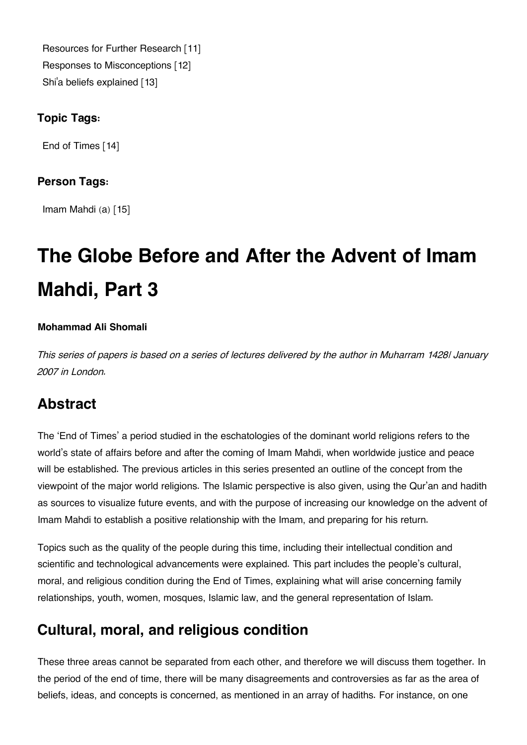[Resources for Further Research](https://www.al-islam.org/feature/resources-further-research) [11] [Responses to Misconceptions](https://www.al-islam.org/feature/responses-misconceptions) [12] Shi['a beliefs explained](https://www.al-islam.org/feature/shia-beliefs-explained) [13]

#### **Topic Tags:**

[End of Times](https://www.al-islam.org/tags/end-times) [14]

#### **Person Tags:**

[Imam Mahdi \(a\)](https://www.al-islam.org/person/imam-al-mahdi) [15]

# **The Globe Before and After the Advent of Imam Mahdi, Part 3**

#### **Mohammad Ali Shomali**

*This series of papers is based on a series of lectures delivered by the author in Muharram 1428/ January 2007 in London.*

# **[Abstract](#page--1-0)**

The 'End of Times' a period studied in the eschatologies of the dominant world religions refers to the world's state of affairs before and after the coming of Imam Mahdi, when worldwide justice and peace will be established. The previous articles in this series presented an outline of the concept from the viewpoint of the major world religions. The Islamic perspective is also given, using the Qur'an and hadith as sources to visualize future events, and with the purpose of increasing our knowledge on the advent of Imam Mahdi to establish a positive relationship with the Imam, and preparing for his return.

Topics such as the quality of the people during this time, including their intellectual condition and scientific and technological advancements were explained. This part includes the people's cultural, moral, and religious condition during the End of Times, explaining what will arise concerning family relationships, youth, women, mosques, Islamic law, and the general representation of Islam.

# **[Cultural, moral, and religious condition](#page--1-0)**

These three areas cannot be separated from each other, and therefore we will discuss them together. In the period of the end of time, there will be many disagreements and controversies as far as the area of beliefs, ideas, and concepts is concerned, as mentioned in an array of hadiths. For instance, on one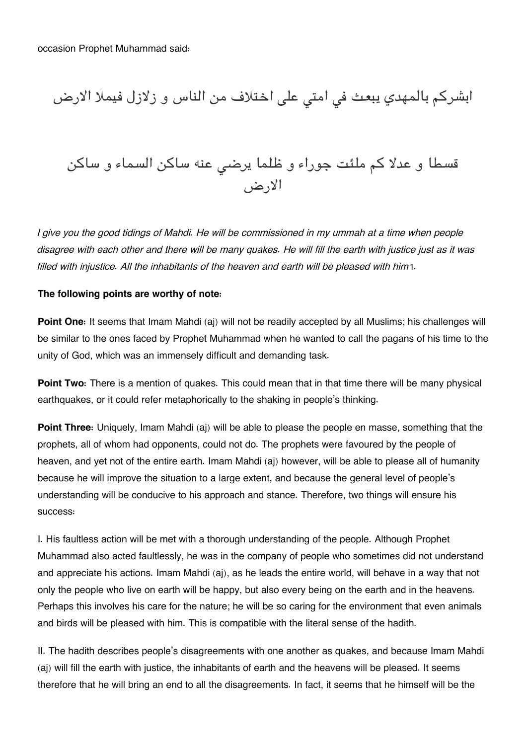ابشركم بالمهدي يبعث في امتى على اختلاف من الناس و زلازل فيملا الارض

قسطا و عدلا كم ملئت جوراء و ظلما يرض عنه ساكن السماء و ساكن الارض

*I give you the good tidings of Mahdi. He will be commissioned in my ummah at a time when people disagree with each other and there will be many quakes. He will fill the earth with justice just as it was filled with injustice. All the inhabitants of the heaven and earth will be pleased with him*[1](#page--1-0).

#### **The following points are worthy of note:**

**Point One:** It seems that Imam Mahdi (aj) will not be readily accepted by all Muslims; his challenges will be similar to the ones faced by Prophet Muhammad when he wanted to call the pagans of his time to the unity of God, which was an immensely difficult and demanding task.

**Point Two:** There is a mention of quakes. This could mean that in that time there will be many physical earthquakes, or it could refer metaphorically to the shaking in people's thinking.

**Point Three:** Uniquely, Imam Mahdi (aj) will be able to please the people en masse, something that the prophets, all of whom had opponents, could not do. The prophets were favoured by the people of heaven, and yet not of the entire earth. Imam Mahdi (aj) however, will be able to please all of humanity because he will improve the situation to a large extent, and because the general level of people's understanding will be conducive to his approach and stance. Therefore, two things will ensure his success:

I. His faultless action will be met with a thorough understanding of the people. Although Prophet Muhammad also acted faultlessly, he was in the company of people who sometimes did not understand and appreciate his actions. Imam Mahdi (aj), as he leads the entire world, will behave in a way that not only the people who live on earth will be happy, but also every being on the earth and in the heavens. Perhaps this involves his care for the nature; he will be so caring for the environment that even animals and birds will be pleased with him. This is compatible with the literal sense of the hadith.

II. The hadith describes people's disagreements with one another as quakes, and because Imam Mahdi (aj) will fill the earth with justice, the inhabitants of earth and the heavens will be pleased. It seems therefore that he will bring an end to all the disagreements. In fact, it seems that he himself will be the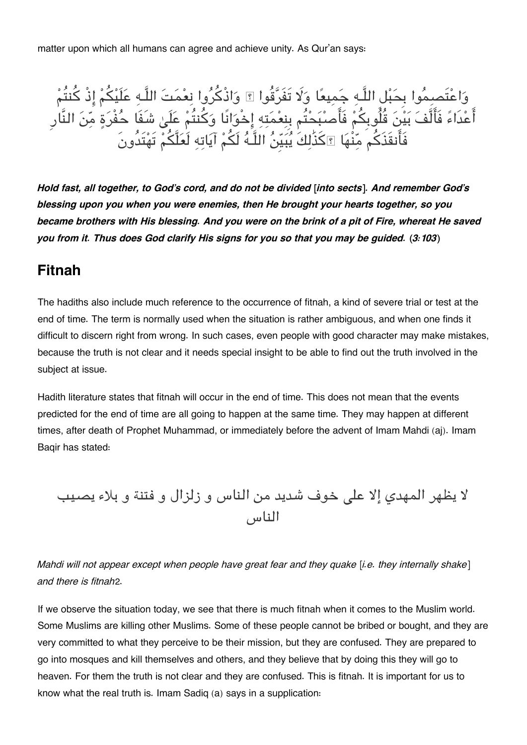matter upon which all humans can agree and achieve unity. As Qur'an says:

واعتَصموا بِحبل اللَّـه جميعا و تَفَرقُوا ۚ واذْكروا نعمت اللَّـه علَيم اذْ كنتُم اعْدَاءَ فَالْفَ بَيْنَ قُلُوبِكُمْ فَاصْبَحْتُم بِنِعْمَتِهِ إِخْوَانًا وَكُنتُمْ عَلَىٰ شَفَا حَفْرَةٍ مِّنَ النَّار فَانقَذَكم منْها ۗكذَٰلكَ يبيِن اللَّـه لَم آياته لَعلَّم تَهتَدُونَ

*Hold fast, all together, to God's cord, and do not be divided [into sects]. And remember God's blessing upon you when you were enemies, then He brought your hearts together, so you became brothers with His blessing. And you were on the brink of a pit of Fire, whereat He saved you from it. Thus does God clarify His signs for you so that you may be guided. (3:103)*

### **[Fitnah](#page--1-0)**

The hadiths also include much reference to the occurrence of fitnah, a kind of severe trial or test at the end of time. The term is normally used when the situation is rather ambiguous, and when one finds it difficult to discern right from wrong. In such cases, even people with good character may make mistakes, because the truth is not clear and it needs special insight to be able to find out the truth involved in the subject at issue.

Hadith literature states that fitnah will occur in the end of time. This does not mean that the events predicted for the end of time are all going to happen at the same time. They may happen at different times, after death of Prophet Muhammad, or immediately before the advent of Imam Mahdi (aj). Imam Baqir has stated:

لا يظهر المهدي إلا على خوف شديد من الناس و زلزال و فتنة و بلاء يصيب الناس

*Mahdi will not appear except when people have great fear and they quake [i.e. they internally shake] and there is fitnah*[2](#page--1-0).

If we observe the situation today, we see that there is much fitnah when it comes to the Muslim world. Some Muslims are killing other Muslims. Some of these people cannot be bribed or bought, and they are very committed to what they perceive to be their mission, but they are confused. They are prepared to go into mosques and kill themselves and others, and they believe that by doing this they will go to heaven. For them the truth is not clear and they are confused. This is fitnah. It is important for us to know what the real truth is. Imam Sadiq (a) says in a supplication: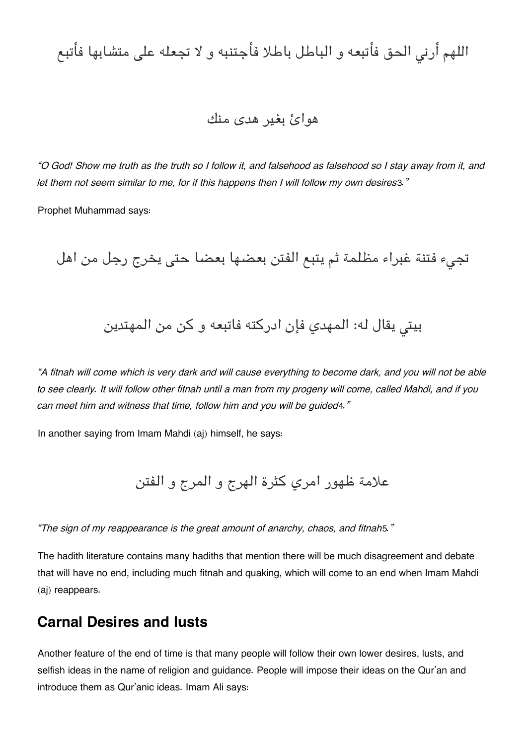اللهم أرنى الحق فأتبعه و الباطل باطلا فأجتنبه و لا تجعله على متشابها فأتبع

### هوائ بغير هدى منك

*"O God! Show me truth as the truth so I follow it, and falsehood as falsehood so I stay away from it, and let them not seem similar to me, for if this happens then I will follow my own desires*[3](#page--1-0)*."*

Prophet Muhammad says:

تجيء فتنة غبراء مظلمة ثم يتبع الفتن بعضها بعضا حتى يخرج رجل من اهل

بيتي يقال له: المهدي فإن ادركته فاتبعه و كن من المهتدين

*"A fitnah will come which is very dark and will cause everything to become dark, and you will not be able to see clearly. It will follow other fitnah until a man from my progeny will come, called Mahdi, and if you can meet him and witness that time, follow him and you will be guided*[4](#page--1-0)*."*

In another saying from Imam Mahdi (aj) himself, he says:

علامة ظهور امري كثرة الهرج و المرج و الفتن

*"The sign of my reappearance is the great amount of anarchy, chaos, and fitnah*[5](#page--1-0)*."*

The hadith literature contains many hadiths that mention there will be much disagreement and debate that will have no end, including much fitnah and quaking, which will come to an end when Imam Mahdi (aj) reappears.

### **[Carnal Desires and lusts](#page--1-0)**

Another feature of the end of time is that many people will follow their own lower desires, lusts, and selfish ideas in the name of religion and guidance. People will impose their ideas on the Qur'an and introduce them as Qur'anic ideas. Imam Ali says: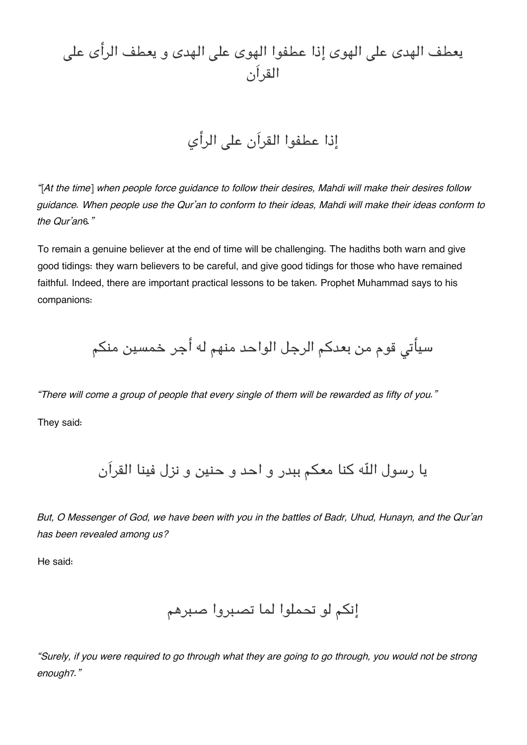# يعطف الهدى على الهوى إذا عطفوا الهوى على الهدى و يعطف الرأى على القراَن

# إذا عطفوا القراَن عل الرأي

*"[At the time] when people force guidance to follow their desires, Mahdi will make their desires follow guidance. When people use the Qur'an to conform to their ideas, Mahdi will make their ideas conform to the Qur'an*[6](#page--1-0)*."*

To remain a genuine believer at the end of time will be challenging. The hadiths both warn and give good tidings: they warn believers to be careful, and give good tidings for those who have remained faithful. Indeed, there are important practical lessons to be taken. Prophet Muhammad says to his companions:

سيأتى قوم من بعدكم الرجل الواحد منهم له أجر خمسين منكم

*"There will come a group of people that every single of them will be rewarded as fifty of you."* They said:

يا رسول اله كنا معم ببدر و احد و حنين و نزل فينا القراَن

*But, O Messenger of God, we have been with you in the battles of Badr, Uhud, Hunayn, and the Qur'an has been revealed among us?*

He said:

إنم لو تحملوا لما تصبروا صبرهم

*"Surely, if you were required to go through what they are going to go through, you would not be strong enough*[7](#page--1-0)*."*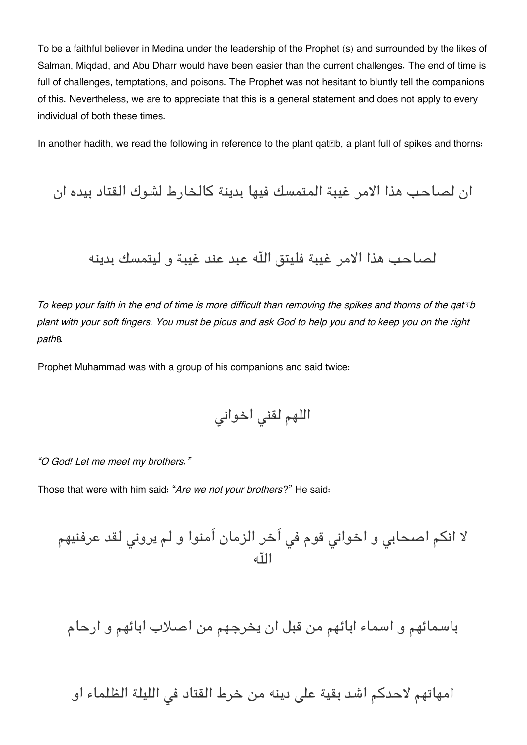To be a faithful believer in Medina under the leadership of the Prophet (s) and surrounded by the likes of Salman, Miqdad, and Abu Dharr would have been easier than the current challenges. The end of time is full of challenges, temptations, and poisons. The Prophet was not hesitant to bluntly tell the companions of this. Nevertheless, we are to appreciate that this is a general statement and does not apply to every individual of both these times.

In another hadith, we read the following in reference to the plant qat the, a plant full of spikes and thorns:

ان لصاحب هذا الامر غيبة المتمسك فيها بدينة كالخارط لشوك القتاد بيده ان لصاحب هذا الامر غيبة فليتق اله عبد عند غيبة و ليتمسك بدينه

*To keep your faith in the end of time is more difficult than removing the spikes and thorns of the qatāb plant with your soft fingers. You must be pious and ask God to help you and to keep you on the right path*[8](#page--1-0)*.*

Prophet Muhammad was with a group of his companions and said twice:

اللهم لقن اخوان

*"O God! Let me meet my brothers."*

Those that were with him said: "*Are we not your brothers*?" He said:

لا انم اصحاب و اخوان قوم ف اَخر الزمان اَمنوا و لم يرون لقد عرفنيهم اله

باسمائهم و اسماء ابائهم من قبل ان يخرجهم من اصلاب ابائهم و ارحام

امهاتهم لاحدكم اشد بقية على دينه من خرط القتاد في الليلة الظلماء او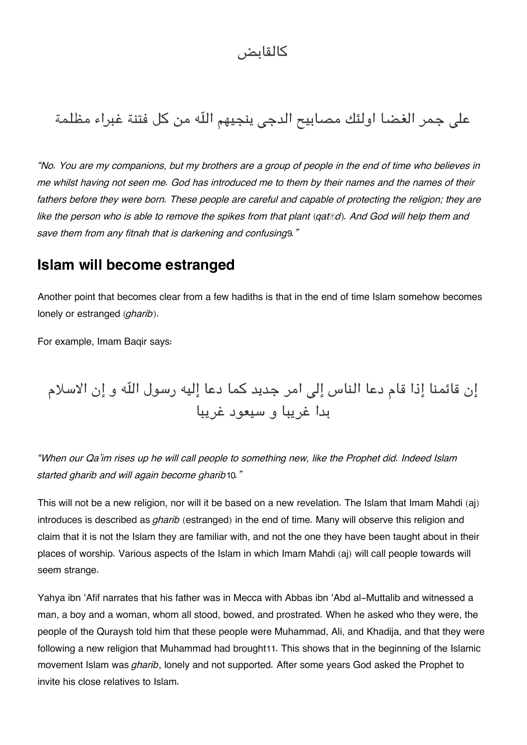## كالقابض

# على جمر الغضا اولئك مصابيح الدجى ينجيهم اللّه من كل فتنة غبراء مظلمة

*"No. You are my companions, but my brothers are a group of people in the end of time who believes in me whilst having not seen me. God has introduced me to them by their names and the names of their fathers before they were born. These people are careful and capable of protecting the religion; they are like the person who is able to remove the spikes from that plant (qatād). And God will help them and save them from any fitnah that is darkening and confusing*[9](#page--1-0)*."*

### **[Islam will become estranged](#page--1-0)**

Another point that becomes clear from a few hadiths is that in the end of time Islam somehow becomes lonely or estranged (*gharib*).

For example, Imam Baqir says:

إن قائمنا إذا قام دعا الناس إلى امر جديد كما دعا إليه رسول الله و إن الاسلام بدا غريبا و سيعود غريبا

*"When our Qa'im rises up he will call people to something new, like the Prophet did. Indeed Islam started gharib and will again become gharib*[10](#page--1-0)*."*

This will not be a new religion, nor will it be based on a new revelation. The Islam that Imam Mahdi (aj) introduces is described as *gharib* (estranged) in the end of time. Many will observe this religion and claim that it is not the Islam they are familiar with, and not the one they have been taught about in their places of worship. Various aspects of the Islam in which Imam Mahdi (aj) will call people towards will seem strange.

Yahya ibn 'Afif narrates that his father was in Mecca with Abbas ibn 'Abd al-Muttalib and witnessed a man, a boy and a woman, whom all stood, bowed, and prostrated. When he asked who they were, the people of the Quraysh told him that these people were Muhammad, Ali, and Khadija, and that they were following a new religion that Muhammad had brought[11](#page--1-0). This shows that in the beginning of the Islamic movement Islam was *gharib*, lonely and not supported. After some years God asked the Prophet to invite his close relatives to Islam.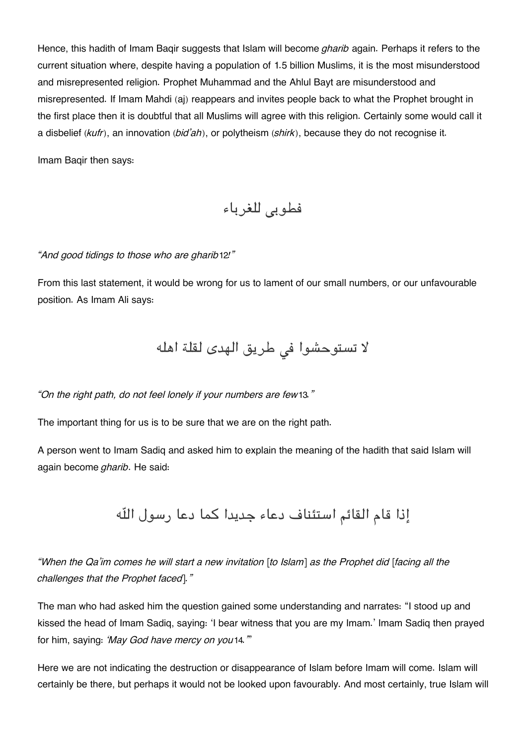Hence, this hadith of Imam Baqir suggests that Islam will become *gharib* again. Perhaps it refers to the current situation where, despite having a population of 1.5 billion Muslims, it is the most misunderstood and misrepresented religion. Prophet Muhammad and the Ahlul Bayt are misunderstood and misrepresented. If Imam Mahdi (aj) reappears and invites people back to what the Prophet brought in the first place then it is doubtful that all Muslims will agree with this religion. Certainly some would call it a disbelief (*kufr*), an innovation (*bid'ah*), or polytheism (*shirk*), because they do not recognise it.

Imam Baqir then says:

فطوبي للغرباء

*"And good tidings to those who are gharib*[12](#page--1-0)*!"*

From this last statement, it would be wrong for us to lament of our small numbers, or our unfavourable position. As Imam Ali says:

لا تستوحشوا فى طريق الهدى لقلة اهله

*"On the right path, do not feel lonely if your numbers are few*[13](#page--1-0)*."*

The important thing for us is to be sure that we are on the right path.

A person went to Imam Sadiq and asked him to explain the meaning of the hadith that said Islam will again become *gharib*. He said:

إذا قام القائم استئناف دعاء جديدا كما دعا رسول اله

*"When the Qa'im comes he will start a new invitation [to Islam] as the Prophet did [facing all the challenges that the Prophet faced]."*

The man who had asked him the question gained some understanding and narrates: "I stood up and kissed the head of Imam Sadiq, saying: 'I bear witness that you are my Imam.' Imam Sadiq then prayed for him, saying: *'May God have mercy on you*[14](#page--1-0)*.'*"

Here we are not indicating the destruction or disappearance of Islam before Imam will come. Islam will certainly be there, but perhaps it would not be looked upon favourably. And most certainly, true Islam will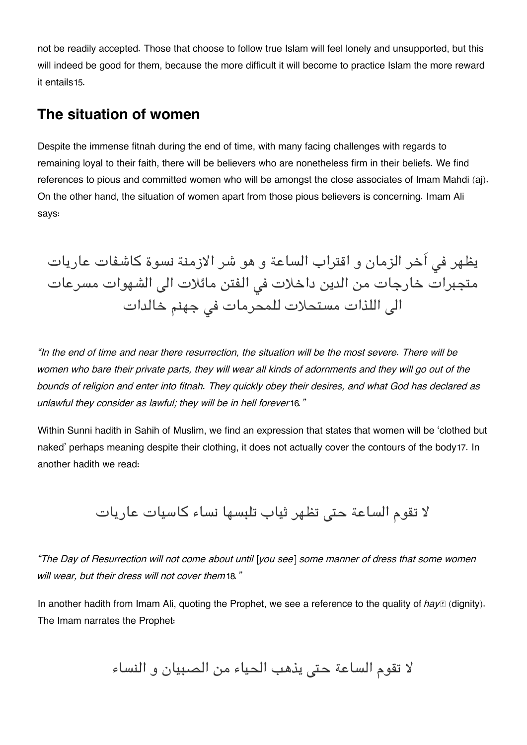not be readily accepted. Those that choose to follow true Islam will feel lonely and unsupported, but this will indeed be good for them, because the more difficult it will become to practice Islam the more reward it entails[15](#page--1-0).

### **[The situation of women](#page--1-0)**

Despite the immense fitnah during the end of time, with many facing challenges with regards to remaining loyal to their faith, there will be believers who are nonetheless firm in their beliefs. We find references to pious and committed women who will be amongst the close associates of Imam Mahdi (aj). On the other hand, the situation of women apart from those pious believers is concerning. Imam Ali says:

يظهر في اَخر الزمان و اقتراب الساعة و هو شر الازمنة نسوة كاشفات عاريات متجبرات خارجات من الدين داخلات فى الفتن مائلات الى الشهوات مسرعات الي اللذات مستحلات للمحرمات في جهنم خالدات

*"In the end of time and near there resurrection, the situation will be the most severe. There will be women who bare their private parts, they will wear all kinds of adornments and they will go out of the bounds of religion and enter into fitnah. They quickly obey their desires, and what God has declared as unlawful they consider as lawful; they will be in hell forever*[16](#page--1-0)*."*

Within Sunni hadith in Sahih of Muslim, we find an expression that states that women will be 'clothed but naked' perhaps meaning despite their clothing, it does not actually cover the contours of the body[17](#page--1-0). In another hadith we read:

لا تقوم الساعة حتى تظهر ثياب تلبسها نساء كاسيات عاريات

*"The Day of Resurrection will not come about until [you see] some manner of dress that some women will wear, but their dress will not cover them*[18](#page--1-0)*."*

In another hadith from Imam Ali, quoting the Prophet, we see a reference to the quality of *hayI* (dignity). The Imam narrates the Prophet:

لا تقوم الساعة حتى يذهب الحياء من الصبيان و النساء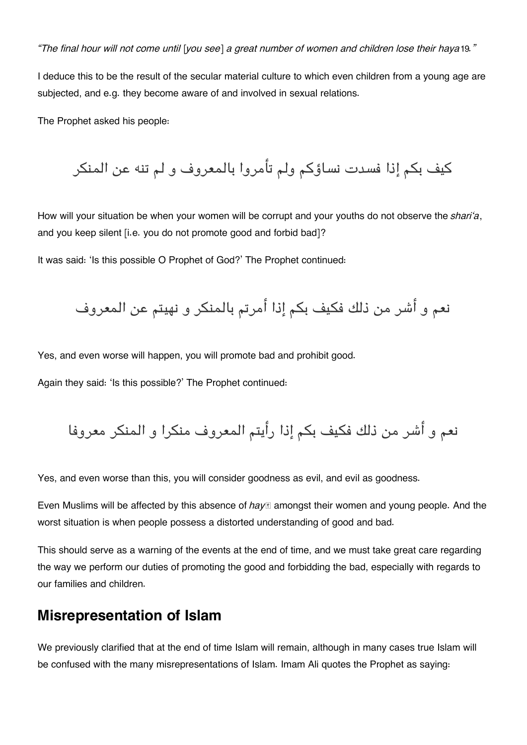*"The final hour will not come until [you see] a great number of women and children lose their haya*[19](#page--1-0)*."*

I deduce this to be the result of the secular material culture to which even children from a young age are subjected, and e.g. they become aware of and involved in sexual relations.

The Prophet asked his people:

كيف بكم إذا فسدت نساؤكم ولم تأمروا بالمعروف و لم تنه عن المنكر

How will your situation be when your women will be corrupt and your youths do not observe the *shari'a*, and you keep silent [i.e. you do not promote good and forbid bad]?

It was said: 'Is this possible O Prophet of God?' The Prophet continued:

نعم و أشر من ذلك فكيف بكم إذا أمرتم بالمنكر و نهيتم عن المعروف

Yes, and even worse will happen, you will promote bad and prohibit good.

Again they said: 'Is this possible?' The Prophet continued:

نعم و أشر من ذلك فكيف بكم إذا رأيتم المعروف منكرا و المنكر معروفا

Yes, and even worse than this, you will consider goodness as evil, and evil as goodness.

Even Muslims will be affected by this absence of *hayā* amongst their women and young people. And the worst situation is when people possess a distorted understanding of good and bad.

This should serve as a warning of the events at the end of time, and we must take great care regarding the way we perform our duties of promoting the good and forbidding the bad, especially with regards to our families and children.

### **[Misrepresentation of Islam](#page--1-0)**

We previously clarified that at the end of time Islam will remain, although in many cases true Islam will be confused with the many misrepresentations of Islam. Imam Ali quotes the Prophet as saying: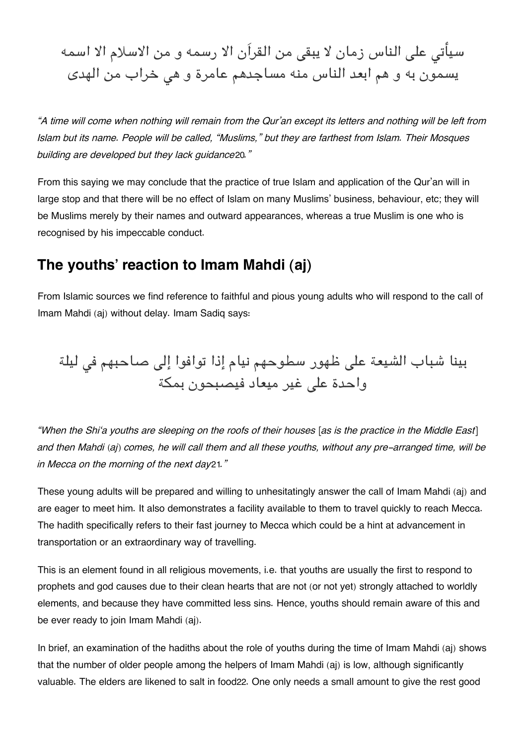سيأتى على الناس زمان لا يبقى من القرآن الا رسمه و من الاسلام الا اسمه يسمون به و هم ابعد الناس منه مساجدهم عامرة و هى خراب من الهدى

*"A time will come when nothing will remain from the Qur'an except its letters and nothing will be left from Islam but its name. People will be called, "Muslims," but they are farthest from Islam. Their Mosques building are developed but they lack guidance*[20](#page--1-0)*."*

From this saying we may conclude that the practice of true Islam and application of the Qur'an will in large stop and that there will be no effect of Islam on many Muslims' business, behaviour, etc; they will be Muslims merely by their names and outward appearances, whereas a true Muslim is one who is recognised by his impeccable conduct.

## **[The youths' reaction to Imam Mahdi \(aj\)](#page--1-0)**

From Islamic sources we find reference to faithful and pious young adults who will respond to the call of Imam Mahdi (aj) without delay. Imam Sadiq says:

بينا شباب الشيعة على ظهور سطوحهم نيام إذا توافوا إلى صاحبهم في ليلة واحدة على غير ميعاد فيصبحون بمكة

*"When the Shi'a youths are sleeping on the roofs of their houses [as is the practice in the Middle East] and then Mahdi (aj) comes, he will call them and all these youths, without any pre-arranged time, will be in Mecca on the morning of the next day*[21](#page--1-0)*."*

These young adults will be prepared and willing to unhesitatingly answer the call of Imam Mahdi (aj) and are eager to meet him. It also demonstrates a facility available to them to travel quickly to reach Mecca. The hadith specifically refers to their fast journey to Mecca which could be a hint at advancement in transportation or an extraordinary way of travelling.

This is an element found in all religious movements, i.e. that youths are usually the first to respond to prophets and god causes due to their clean hearts that are not (or not yet) strongly attached to worldly elements, and because they have committed less sins. Hence, youths should remain aware of this and be ever ready to join Imam Mahdi (aj).

In brief, an examination of the hadiths about the role of youths during the time of Imam Mahdi (aj) shows that the number of older people among the helpers of Imam Mahdi (aj) is low, although significantly valuable. The elders are likened to salt in food[22](#page--1-0). One only needs a small amount to give the rest good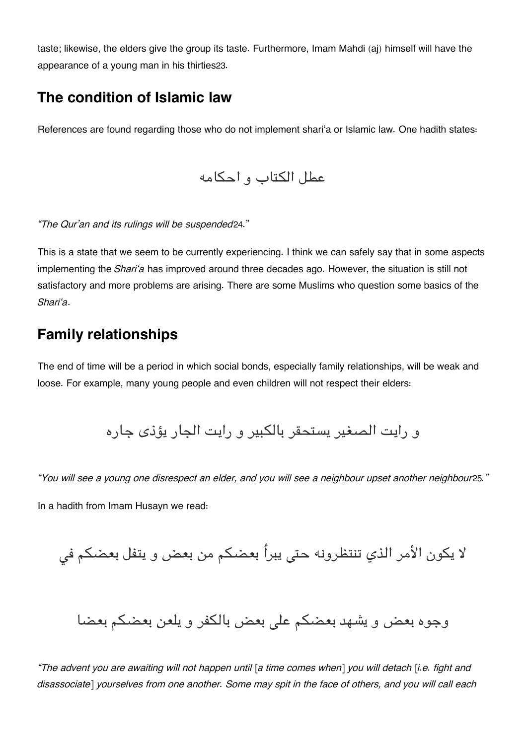taste; likewise, the elders give the group its taste. Furthermore, Imam Mahdi (aj) himself will have the appearance of a young man in his thirties[23](#page--1-0).

## **[The condition of Islamic law](#page--1-0)**

References are found regarding those who do not implement shari'a or Islamic law. One hadith states:

عطل التاب و احامه

*"The Qur'an and its rulings will be suspended*[24](#page--1-0)."

This is a state that we seem to be currently experiencing. I think we can safely say that in some aspects implementing the *Shari'a* has improved around three decades ago. However, the situation is still not satisfactory and more problems are arising. There are some Muslims who question some basics of the *Shari'a*.

## **[Family relationships](#page--1-0)**

The end of time will be a period in which social bonds, especially family relationships, will be weak and loose. For example, many young people and even children will not respect their elders:

و رايت الصغير يستحقر بالبير و رايت الجار يؤذى جاره

*"You will see a young one disrespect an elder, and you will see a neighbour upset another neighbour*[25](#page--1-0)*."*

In a hadith from Imam Husayn we read:

لا يكون الأمر الذي تنتظرونه حتى يبرأ بعضكم من بعض و يتفل بعضكم في

وجوه بعض و يشهد بعضكم على بعض بالكفر و يلعن بعضكم بعضا

*"The advent you are awaiting will not happen until [a time comes when] you will detach [i.e. fight and disassociate] yourselves from one another. Some may spit in the face of others, and you will call each*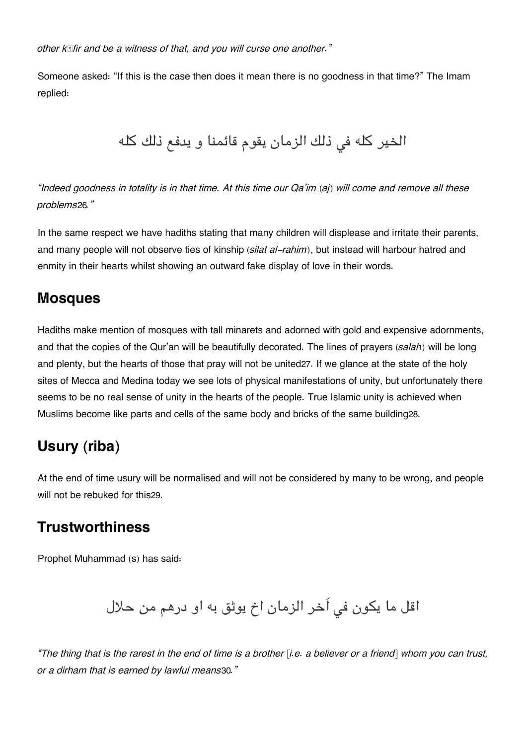*other kāfir and be a witness of that, and you will curse one another."*

Someone asked: "If this is the case then does it mean there is no goodness in that time?" The Imam replied:

الخير كله في ذلك الزمان يقوم قائمنا و يدفع ذلك كله

*"Indeed goodness in totality is in that time. At this time our Qa'im (aj) will come and remove all these problems*[26](#page--1-0)*."*

In the same respect we have hadiths stating that many children will displease and irritate their parents, and many people will not observe ties of kinship (*silat al-rahim*), but instead will harbour hatred and enmity in their hearts whilst showing an outward fake display of love in their words.

### **[Mosques](#page--1-0)**

Hadiths make mention of mosques with tall minarets and adorned with gold and expensive adornments, and that the copies of the Qur'an will be beautifully decorated. The lines of prayers (*salah*) will be long and plenty, but the hearts of those that pray will not be united[27](#page--1-0). If we glance at the state of the holy sites of Mecca and Medina today we see lots of physical manifestations of unity, but unfortunately there seems to be no real sense of unity in the hearts of the people. True Islamic unity is achieved when Muslims become like parts and cells of the same body and bricks of the same building[28](#page--1-0).

## **[Usury \(riba\)](#page--1-0)**

At the end of time usury will be normalised and will not be considered by many to be wrong, and people will not be rebuked for this[29](#page--1-0).

## **[Trustworthiness](#page--1-0)**

Prophet Muhammad (s) has said:

اقل ما يكون في أخر الزمان اخ يوثق به او درهم من حلال

*"The thing that is the rarest in the end of time is a brother [i.e. a believer or a friend] whom you can trust, or a dirham that is earned by lawful means*[30](#page--1-0)*."*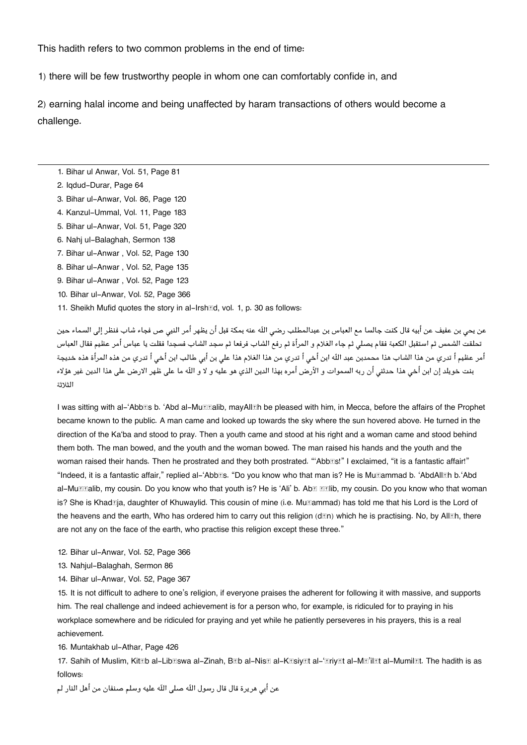This hadith refers to two common problems in the end of time:

1) there will be few trustworthy people in whom one can comfortably confide in, and

2) earning halal income and being unaffected by haram transactions of others would become a challenge.

- [1.](#page--1-0) Bihar ul Anwar, Vol. 51, Page 81
- [2.](#page--1-0) Iqdud-Durar, Page 64
- [3.](#page--1-0) Bihar ul-Anwar, Vol. 86, Page 120
- [4.](#page--1-0) Kanzul-Ummal, Vol. 11, Page 183
- [5.](#page--1-0) Bihar ul-Anwar, Vol. 51, Page 320
- [6.](#page--1-0) Nahj ul-Balaghah, Sermon 138
- [7.](#page--1-0) Bihar ul-Anwar , Vol. 52, Page 130
- [8.](#page--1-0) Bihar ul-Anwar , Vol. 52, Page 135
- [9.](#page--1-0) Bihar ul-Anwar , Vol. 52, Page 123
- [10.](#page--1-0) Bihar ul-Anwar, Vol. 52, Page 366
- [11.](#page--1-0) Sheikh Mufid quotes the story in al-Irsh<br>
d. vol. 1, p. 30 as follows:

عن يحى بن عفيف عن أبيه قال كنت جالسا مع العباس بن عبدالمطلب رضى اللّه عنه بمكة قبل أن يظهر أمر النبى ص فجاء شاب فنظر إلى السماء حين تحلقت الشمس ثم استقبل العبة فقام يصل ثم جاء الغلام و المرأة ثم رفع الشاب فرفعا ثم سجد الشاب فسجدا فقلت يا عباس أمر عظيم فقال العباس أمر عظيم أ تدري من هذا الشاب هذا محمدبن عبد اللّه ابن أخى أ تدري من هذا الغلام هذا على بن أبى طالب ابن أخى أ تدري من هذه المرأة هذه خديجة بنت خويلد إن ابن أخى هذا حدثنى أن ربه السموات و الأرض أمره بهذا الدين الذي هو عليه و لا و اللّه ما على ظهر الارض على هذا الدين غير هؤلاء الثلاثة

I was sitting with al-'Abb**<b>Els** b. 'Abd al-Mu**E**ralib, mayAll**Eh** be pleased with him, in Mecca, before the affairs of the Prophet became known to the public. A man came and looked up towards the sky where the sun hovered above. He turned in the direction of the Ka'ba and stood to pray. Then a youth came and stood at his right and a woman came and stood behind them both. The man bowed, and the youth and the woman bowed. The man raised his hands and the youth and the woman raised their hands. Then he prostrated and they both prostrated. "Abb**Es!"** I exclaimed, "it is a fantastic affair!" "Indeed, it is a fantastic affair," replied al-'Abbās. "Do you know who that man is? He is Muḥammad b. 'AbdAllāh b.'Abd al-Mu**<b>Elalib, my cousin. Do you know who that** youth is? He is 'Ali' b. Ab**E Ellib, my cousin. Do you know who that woman** is? She is Khad**<b>z**ja, daughter of Khuwaylid. This cousin of mine (i.e. Mu<br>
<sub>[die</sub> Muhammad] has told me that his Lord is the Lord of order<br>
in the Lord of Muhammad] has told me that his Lord is the Lord of the Lord of Khu the heavens and the earth, Who has ordered him to carry out this religion (don) which he is practising. No, by Alloh, there are not any on the face of the earth, who practise this religion except these three."

- [12.](#page--1-0) Bihar ul-Anwar, Vol. 52, Page 366
- [13.](#page--1-0) Nahjul-Balaghah, Sermon 86
- [14.](#page--1-0) Bihar ul-Anwar, Vol. 52, Page 367

[15.](#page--1-0) It is not difficult to adhere to one's religion, if everyone praises the adherent for following it with massive, and supports him. The real challenge and indeed achievement is for a person who, for example, is ridiculed for to praying in his workplace somewhere and be ridiculed for praying and yet while he patiently perseveres in his prayers, this is a real achievement.

[16.](#page--1-0) Muntakhab ul-Athar, Page 426

[17.](#page--1-0) Sahih of Muslim, Kitāb al-Libāswa al-Zinah, Bāb al-Nisā al-Kāsiyāt al-'āriyāt al-Mā'ilāt al-Mumilāt. The hadith is as follows:

عن أبى هريرة قال قال رسول اللّه صلى اللّه عليه وسلم صنفان من أهل النار لم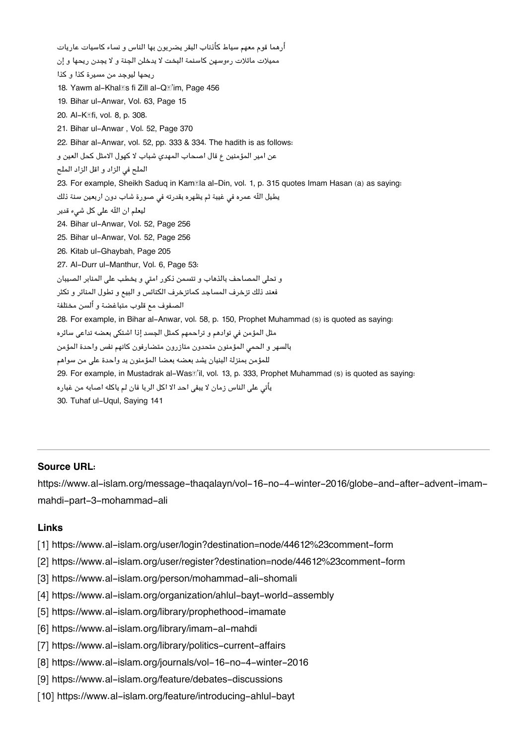أرهما قوم معهم سياط كأذناب البقر يضربون بها الناس و نساء كاسيات عاريات مميلات مائلات رءوسهن كاسنمة البخت لا يدخلن الجنة و لا يجدن ريحها و إن ريحها ليوجد من مسيرة كذا و كذا [18.](#page--1-0) Yawm al-Khalas fi Zill al-Qa'im, Page 456 [19.](#page--1-0) Bihar ul-Anwar, Vol. 63, Page 15 [20.](#page--1-0) Al-Kāfi, vol. 8, p. 308. [21.](#page--1-0) Bihar ul-Anwar , Vol. 52, Page 370 [22.](#page--1-0) Bihar al-Anwar, vol. 52, pp. 333 & 334. The hadith is as follows: عن امير المؤمنين ع قال اصحاب المهدي شباب لا كهول الامثل كحل العين و الملح في الزاد و اقل الزاد الملح [23.](#page--1-0) For example, Sheikh Saduq in Kam**kila al-Din, vol. 1, p. 315 quotes Imam Hasan** (a) as saying: يطيل اللّه عمره في غيبة ثم يظهره بقدرته في صورة شاب دون اربعين سنة ذلك ليعلم ان اله عل كل شء قدير [24.](#page--1-0) Bihar ul-Anwar, Vol. 52, Page 256 [25.](#page--1-0) Bihar ul-Anwar, Vol. 52, Page 256 [26.](#page--1-0) Kitab ul-Ghaybah, Page 205 [27.](#page--1-0) Al-Durr ul-Manthur, Vol. 6, Page 53: و تحلي المصاحف بالذهاب و تتسمن ذكور امتى و يخطب على المنابر الصيبان فعند ذلك تزخرف المساجد كماتزخرف النائس و البيع و تطول المنائر و تثر الصفوف مع قلوب متباغضة و ألسن مختلفة [28.](#page--1-0) For example, in Bihar al-Anwar, vol. 58, p. 150, Prophet Muhammad (s) is quoted as saying: مثل المؤمن فى توادهم و تراحمهم كمثل الجسد إذا اشتكى بعضه تداعى سائره بالسهر و الحمى المؤمنون متحدون متازرون متضارفون كانهم نفس واحدة المؤمن للمؤمن بمنزلة البنيان يشد بعضه بعضا المؤمنون يد واحدة عل من سواهم [29.](#page--1-0) For example, in Mustadrak al-Wasā'il, vol. 13, p. 333, Prophet Muhammad (s) is quoted as saying: يأتى على الناس زمان لا يبقى احد الا اكل الربا فان لم ياكله اصابه من غباره [30.](#page--1-0) Tuhaf ul-Uqul, Saying 141

#### **Source URL:**

https://www.al-islam.org/message-thaqalayn/vol-16-no-4-winter-2016/globe-and-after-advent-imammahdi-part-3-mohammad-ali

#### **Links**

- [1] https://www.al-islam.org/user/login?destination=node/44612%23comment-form
- [2] https://www.al-islam.org/user/register?destination=node/44612%23comment-form
- [3] https://www.al-islam.org/person/mohammad-ali-shomali
- [4] https://www.al-islam.org/organization/ahlul-bayt-world-assembly
- [5] https://www.al-islam.org/library/prophethood-imamate
- [6] https://www.al-islam.org/library/imam-al-mahdi
- [7] https://www.al-islam.org/library/politics-current-affairs
- [8] https://www.al-islam.org/journals/vol-16-no-4-winter-2016
- [9] https://www.al-islam.org/feature/debates-discussions
- [10] https://www.al-islam.org/feature/introducing-ahlul-bayt